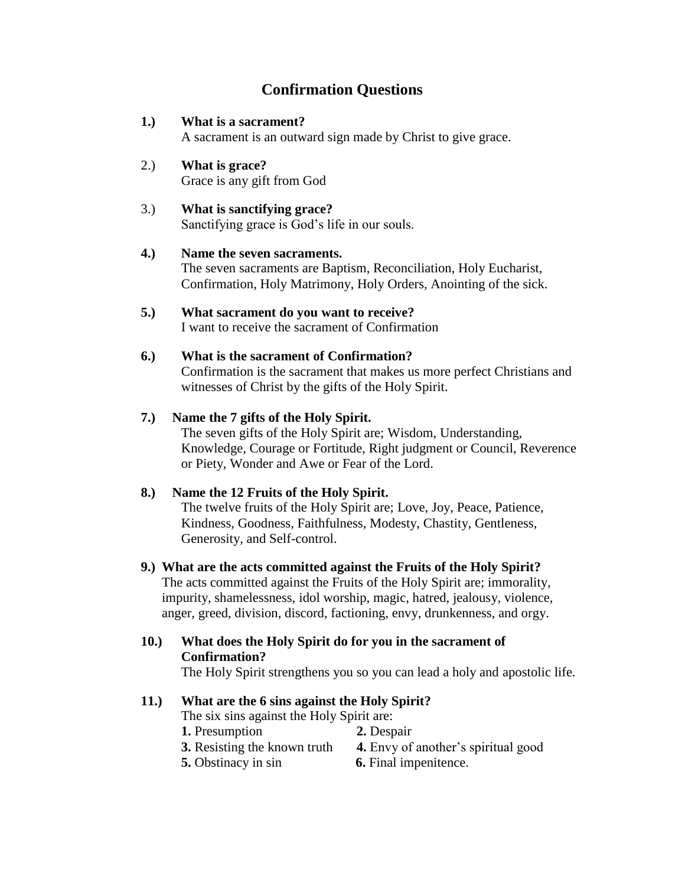# **Confirmation Questions**

## **1.) What is a sacrament?**

A sacrament is an outward sign made by Christ to give grace.

- 2.) **What is grace?** Grace is any gift from God
- 3.) **What is sanctifying grace?** Sanctifying grace is God's life in our souls.

#### **4.) Name the seven sacraments.**

The seven sacraments are Baptism, Reconciliation, Holy Eucharist, Confirmation, Holy Matrimony, Holy Orders, Anointing of the sick.

**5.) What sacrament do you want to receive?** I want to receive the sacrament of Confirmation

## **6.) What is the sacrament of Confirmation?**

Confirmation is the sacrament that makes us more perfect Christians and witnesses of Christ by the gifts of the Holy Spirit.

#### **7.) Name the 7 gifts of the Holy Spirit.**

The seven gifts of the Holy Spirit are; Wisdom, Understanding, Knowledge, Courage or Fortitude, Right judgment or Council, Reverence or Piety, Wonder and Awe or Fear of the Lord.

#### **8.) Name the 12 Fruits of the Holy Spirit.**

The twelve fruits of the Holy Spirit are; Love, Joy, Peace, Patience, Kindness, Goodness, Faithfulness, Modesty, Chastity, Gentleness, Generosity, and Self-control.

#### **9.) What are the acts committed against the Fruits of the Holy Spirit?**

The acts committed against the Fruits of the Holy Spirit are; immorality, impurity, shamelessness, idol worship, magic, hatred, jealousy, violence, anger, greed, division, discord, factioning, envy, drunkenness, and orgy.

## **10.) What does the Holy Spirit do for you in the sacrament of Confirmation?**

The Holy Spirit strengthens you so you can lead a holy and apostolic life.

# **11.) What are the 6 sins against the Holy Spirit?**

- The six sins against the Holy Spirit are:
- **1.** Presumption **2.** Despair
- **3.** Resisting the known truth **4.** Envy of another's spiritual good
	-
- 
- **5.** Obstinacy in sin **6.** Final impenitence.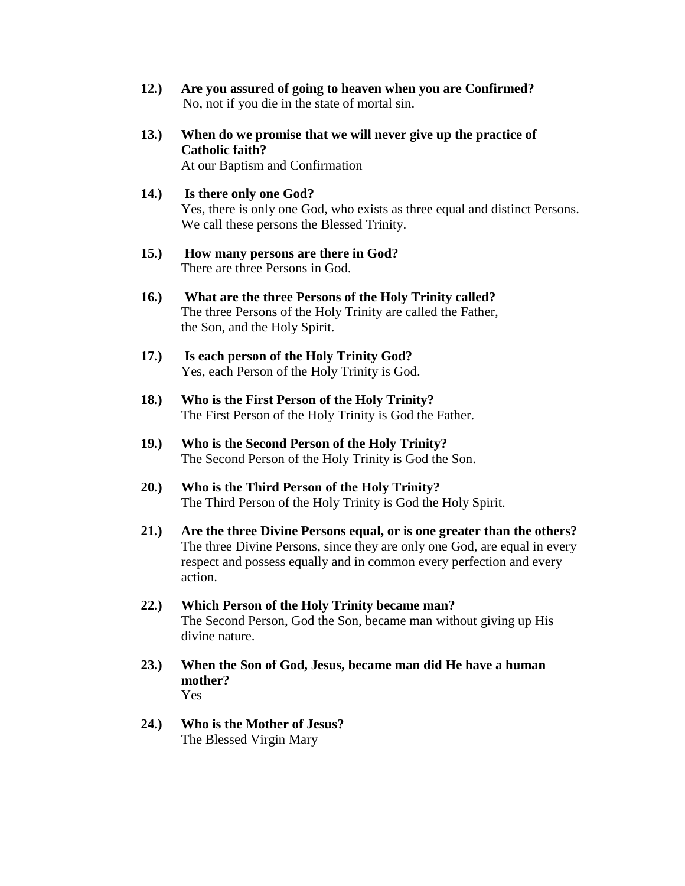- **12.) Are you assured of going to heaven when you are Confirmed?** No, not if you die in the state of mortal sin.
- **13.) When do we promise that we will never give up the practice of Catholic faith?**

At our Baptism and Confirmation

- **14.) Is there only one God?** Yes, there is only one God, who exists as three equal and distinct Persons. We call these persons the Blessed Trinity.
- **15.) How many persons are there in God?** There are three Persons in God.
- **16.) What are the three Persons of the Holy Trinity called?** The three Persons of the Holy Trinity are called the Father, the Son, and the Holy Spirit.
- **17.) Is each person of the Holy Trinity God?** Yes, each Person of the Holy Trinity is God.
- **18.) Who is the First Person of the Holy Trinity?** The First Person of the Holy Trinity is God the Father.
- **19.) Who is the Second Person of the Holy Trinity?** The Second Person of the Holy Trinity is God the Son.
- **20.) Who is the Third Person of the Holy Trinity?** The Third Person of the Holy Trinity is God the Holy Spirit.
- **21.) Are the three Divine Persons equal, or is one greater than the others?** The three Divine Persons, since they are only one God, are equal in every respect and possess equally and in common every perfection and every action.
- **22.) Which Person of the Holy Trinity became man?** The Second Person, God the Son, became man without giving up His divine nature.
- **23.) When the Son of God, Jesus, became man did He have a human mother?** Yes
- **24.) Who is the Mother of Jesus?** The Blessed Virgin Mary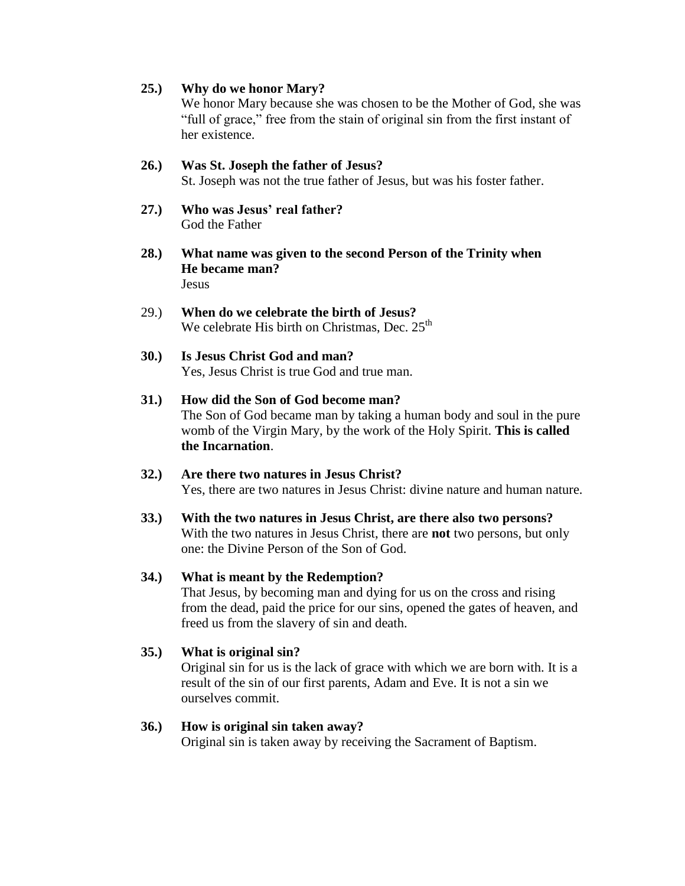#### **25.) Why do we honor Mary?**

We honor Mary because she was chosen to be the Mother of God, she was "full of grace," free from the stain of original sin from the first instant of her existence.

- **26.) Was St. Joseph the father of Jesus?** St. Joseph was not the true father of Jesus, but was his foster father.
- **27.) Who was Jesus' real father?** God the Father
- **28.) What name was given to the second Person of the Trinity when He became man?** Jesus
- 29.) **When do we celebrate the birth of Jesus?** We celebrate His birth on Christmas, Dec.  $25<sup>th</sup>$
- **30.) Is Jesus Christ God and man?** Yes, Jesus Christ is true God and true man.
- **31.) How did the Son of God become man?** The Son of God became man by taking a human body and soul in the pure womb of the Virgin Mary, by the work of the Holy Spirit. **This is called the Incarnation**.
- **32.) Are there two natures in Jesus Christ?** Yes, there are two natures in Jesus Christ: divine nature and human nature.
- **33.) With the two natures in Jesus Christ, are there also two persons?** With the two natures in Jesus Christ, there are **not** two persons, but only one: the Divine Person of the Son of God.

#### **34.) What is meant by the Redemption?**

That Jesus, by becoming man and dying for us on the cross and rising from the dead, paid the price for our sins, opened the gates of heaven, and freed us from the slavery of sin and death.

#### **35.) What is original sin?**

Original sin for us is the lack of grace with which we are born with. It is a result of the sin of our first parents, Adam and Eve. It is not a sin we ourselves commit.

#### **36.) How is original sin taken away?**

Original sin is taken away by receiving the Sacrament of Baptism.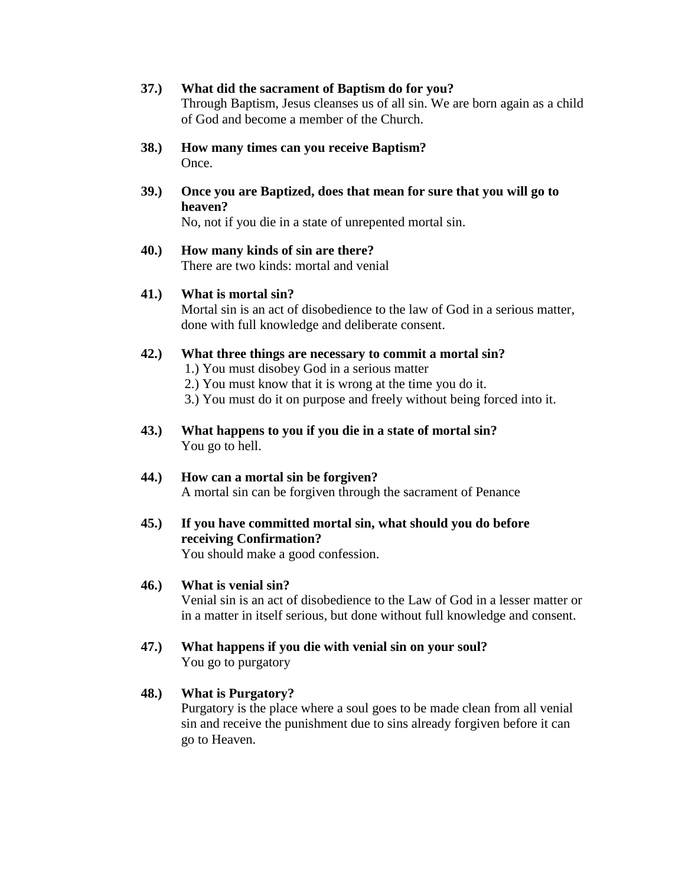## **37.) What did the sacrament of Baptism do for you?** Through Baptism, Jesus cleanses us of all sin. We are born again as a child

- of God and become a member of the Church.
- **38.) How many times can you receive Baptism?** Once.
- **39.) Once you are Baptized, does that mean for sure that you will go to heaven?**

No, not if you die in a state of unrepented mortal sin.

# **40.) How many kinds of sin are there?**

There are two kinds: mortal and venial

# **41.) What is mortal sin?**

Mortal sin is an act of disobedience to the law of God in a serious matter, done with full knowledge and deliberate consent.

# **42.) What three things are necessary to commit a mortal sin?**

- 1.) You must disobey God in a serious matter
- 2.) You must know that it is wrong at the time you do it.
- 3.) You must do it on purpose and freely without being forced into it.
- **43.) What happens to you if you die in a state of mortal sin?** You go to hell.

#### **44.) How can a mortal sin be forgiven?** A mortal sin can be forgiven through the sacrament of Penance

# **45.) If you have committed mortal sin, what should you do before receiving Confirmation?**

You should make a good confession.

# **46.) What is venial sin?**

Venial sin is an act of disobedience to the Law of God in a lesser matter or in a matter in itself serious, but done without full knowledge and consent.

**47.) What happens if you die with venial sin on your soul?** You go to purgatory

# **48.) What is Purgatory?**

Purgatory is the place where a soul goes to be made clean from all venial sin and receive the punishment due to sins already forgiven before it can go to Heaven.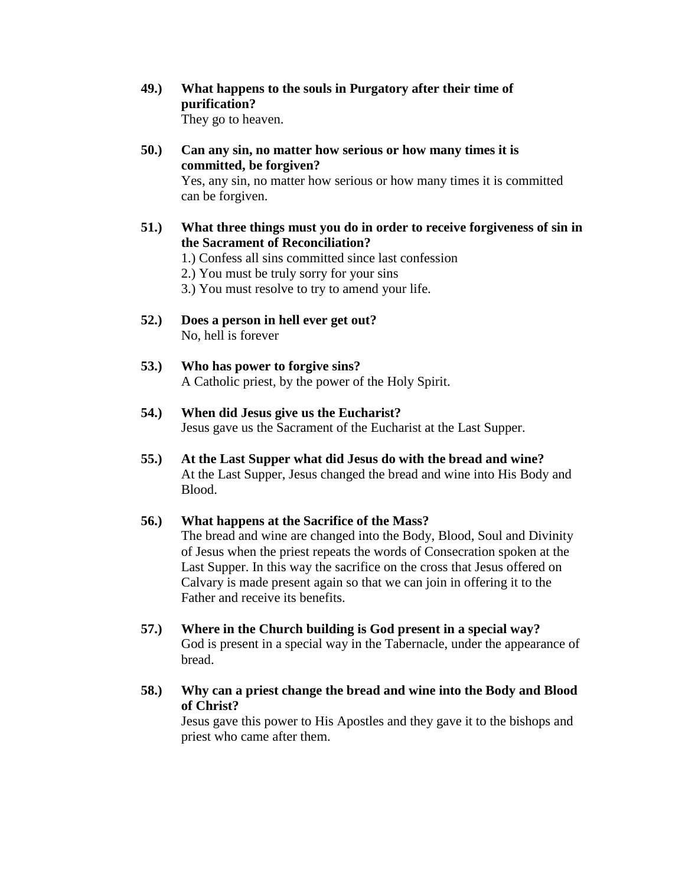- **49.) What happens to the souls in Purgatory after their time of purification?** They go to heaven.
- **50.) Can any sin, no matter how serious or how many times it is committed, be forgiven?** Yes, any sin, no matter how serious or how many times it is committed can be forgiven.
- **51.) What three things must you do in order to receive forgiveness of sin in the Sacrament of Reconciliation?**
	- 1.) Confess all sins committed since last confession
	- 2.) You must be truly sorry for your sins
	- 3.) You must resolve to try to amend your life.
- **52.) Does a person in hell ever get out?** No, hell is forever
- **53.) Who has power to forgive sins?** A Catholic priest, by the power of the Holy Spirit.
- **54.) When did Jesus give us the Eucharist?** Jesus gave us the Sacrament of the Eucharist at the Last Supper.
- **55.) At the Last Supper what did Jesus do with the bread and wine?** At the Last Supper, Jesus changed the bread and wine into His Body and Blood.

#### **56.) What happens at the Sacrifice of the Mass?**

The bread and wine are changed into the Body, Blood, Soul and Divinity of Jesus when the priest repeats the words of Consecration spoken at the Last Supper. In this way the sacrifice on the cross that Jesus offered on Calvary is made present again so that we can join in offering it to the Father and receive its benefits.

- **57.) Where in the Church building is God present in a special way?** God is present in a special way in the Tabernacle, under the appearance of bread.
- **58.) Why can a priest change the bread and wine into the Body and Blood of Christ?**

Jesus gave this power to His Apostles and they gave it to the bishops and priest who came after them.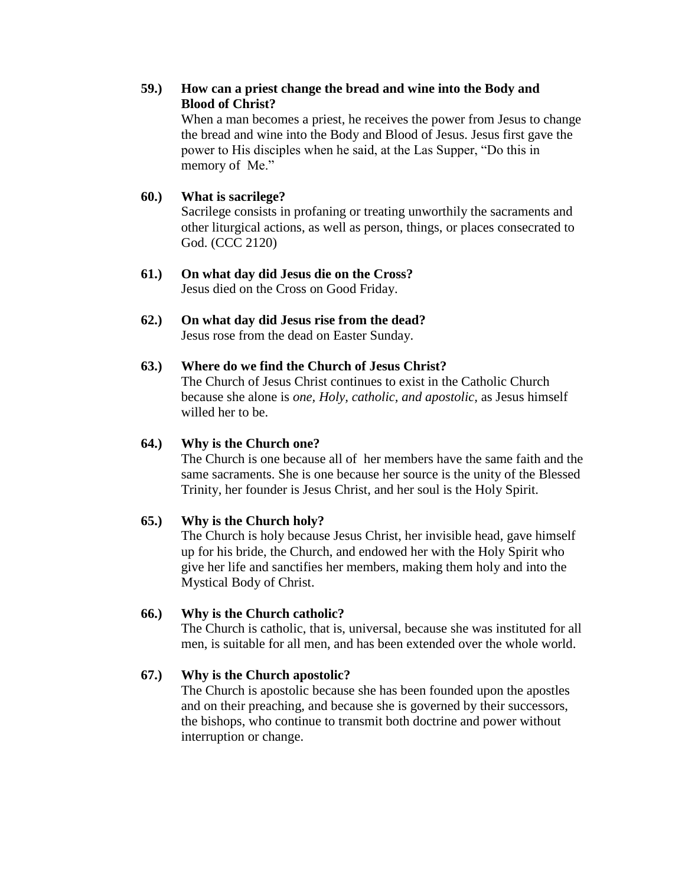## **59.) How can a priest change the bread and wine into the Body and Blood of Christ?**

When a man becomes a priest, he receives the power from Jesus to change the bread and wine into the Body and Blood of Jesus. Jesus first gave the power to His disciples when he said, at the Las Supper, "Do this in memory of Me."

#### **60.) What is sacrilege?**

Sacrilege consists in profaning or treating unworthily the sacraments and other liturgical actions, as well as person, things, or places consecrated to God. (CCC 2120)

- **61.) On what day did Jesus die on the Cross?** Jesus died on the Cross on Good Friday.
- **62.) On what day did Jesus rise from the dead?** Jesus rose from the dead on Easter Sunday.

# **63.) Where do we find the Church of Jesus Christ?**

The Church of Jesus Christ continues to exist in the Catholic Church because she alone is *one, Holy, catholic, and apostolic,* as Jesus himself willed her to be.

#### **64.) Why is the Church one?**

The Church is one because all of her members have the same faith and the same sacraments. She is one because her source is the unity of the Blessed Trinity, her founder is Jesus Christ, and her soul is the Holy Spirit.

#### **65.) Why is the Church holy?**

The Church is holy because Jesus Christ, her invisible head, gave himself up for his bride, the Church, and endowed her with the Holy Spirit who give her life and sanctifies her members, making them holy and into the Mystical Body of Christ.

#### **66.) Why is the Church catholic?**

The Church is catholic, that is, universal, because she was instituted for all men, is suitable for all men, and has been extended over the whole world.

#### **67.) Why is the Church apostolic?**

The Church is apostolic because she has been founded upon the apostles and on their preaching, and because she is governed by their successors, the bishops, who continue to transmit both doctrine and power without interruption or change.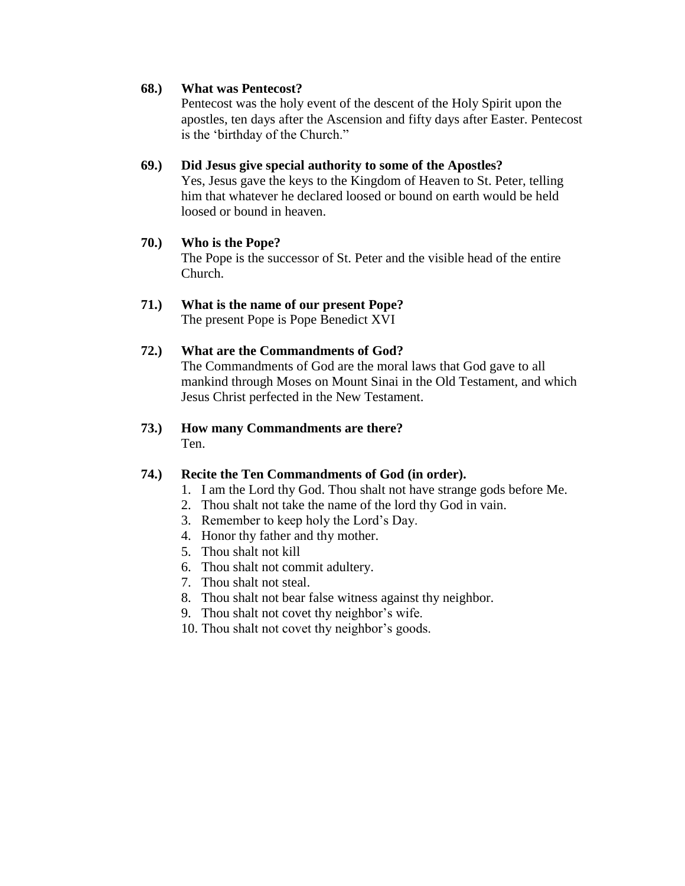#### **68.) What was Pentecost?**

Pentecost was the holy event of the descent of the Holy Spirit upon the apostles, ten days after the Ascension and fifty days after Easter. Pentecost is the "birthday of the Church."

## **69.) Did Jesus give special authority to some of the Apostles?**

Yes, Jesus gave the keys to the Kingdom of Heaven to St. Peter, telling him that whatever he declared loosed or bound on earth would be held loosed or bound in heaven.

## **70.) Who is the Pope?**

The Pope is the successor of St. Peter and the visible head of the entire Church.

# **71.) What is the name of our present Pope?**

The present Pope is Pope Benedict XVI

# **72.) What are the Commandments of God?**

The Commandments of God are the moral laws that God gave to all mankind through Moses on Mount Sinai in the Old Testament, and which Jesus Christ perfected in the New Testament.

## **73.) How many Commandments are there?** Ten.

# **74.) Recite the Ten Commandments of God (in order).**

- 1. I am the Lord thy God. Thou shalt not have strange gods before Me.
- 2. Thou shalt not take the name of the lord thy God in vain.
- 3. Remember to keep holy the Lord"s Day.
- 4. Honor thy father and thy mother.
- 5. Thou shalt not kill
- 6. Thou shalt not commit adultery.
- 7. Thou shalt not steal.
- 8. Thou shalt not bear false witness against thy neighbor.
- 9. Thou shalt not covet thy neighbor"s wife.
- 10. Thou shalt not covet thy neighbor"s goods.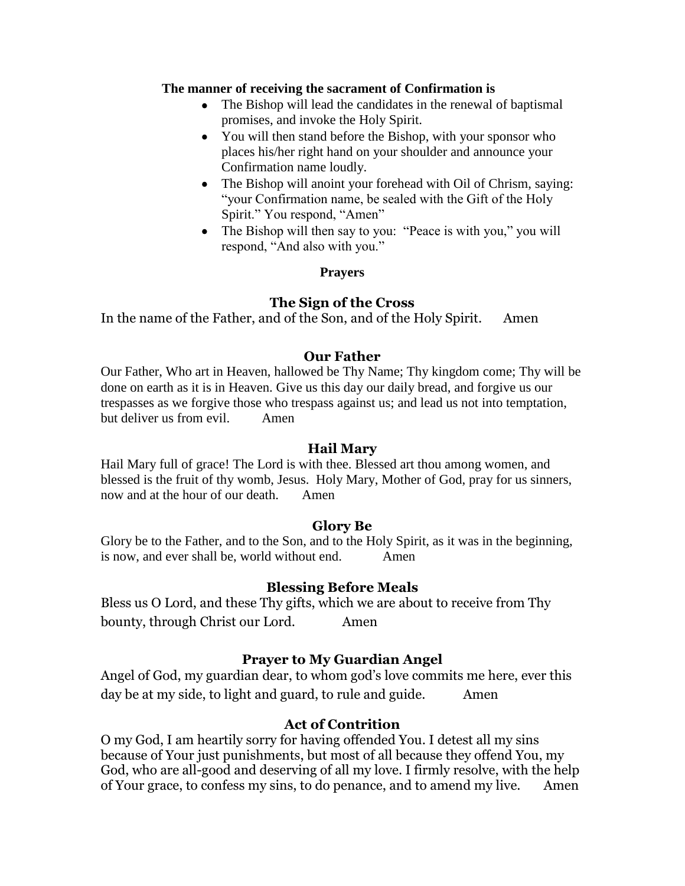#### **The manner of receiving the sacrament of Confirmation is**

- The Bishop will lead the candidates in the renewal of baptismal promises, and invoke the Holy Spirit.
- You will then stand before the Bishop, with your sponsor who places his/her right hand on your shoulder and announce your Confirmation name loudly.
- The Bishop will anoint your forehead with Oil of Chrism, saying: "your Confirmation name, be sealed with the Gift of the Holy Spirit." You respond, "Amen"
- The Bishop will then say to you: "Peace is with you," you will respond, "And also with you."

#### **Prayers**

# **The Sign of the Cross**

In the name of the Father, and of the Son, and of the Holy Spirit. Amen

# **Our Father**

Our Father, Who art in Heaven, hallowed be Thy Name; Thy kingdom come; Thy will be done on earth as it is in Heaven. Give us this day our daily bread, and forgive us our trespasses as we forgive those who trespass against us; and lead us not into temptation, but deliver us from evil. Amen

# **Hail Mary**

Hail Mary full of grace! The Lord is with thee. Blessed art thou among women, and blessed is the fruit of thy womb, Jesus. Holy Mary, Mother of God, pray for us sinners, now and at the hour of our death. Amen

# **Glory Be**

Glory be to the Father, and to the Son, and to the Holy Spirit, as it was in the beginning, is now, and ever shall be, world without end. Amen

# **Blessing Before Meals**

Bless us O Lord, and these Thy gifts, which we are about to receive from Thy bounty, through Christ our Lord. Amen

# **Prayer to My Guardian Angel**

Angel of God, my guardian dear, to whom god's love commits me here, ever this day be at my side, to light and guard, to rule and guide. Amen

# **Act of Contrition**

O my God, I am heartily sorry for having offended You. I detest all my sins because of Your just punishments, but most of all because they offend You, my God, who are all-good and deserving of all my love. I firmly resolve, with the help of Your grace, to confess my sins, to do penance, and to amend my live. Amen